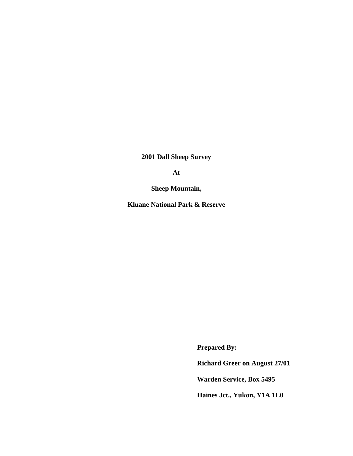**2001 Dall Sheep Survey** 

**At** 

**Sheep Mountain,** 

**Kluane National Park & Reserve** 

 **Prepared By:** 

 **Richard Greer on August 27/01** 

 **Warden Service, Box 5495** 

 **Haines Jct., Yukon, Y1A 1L0**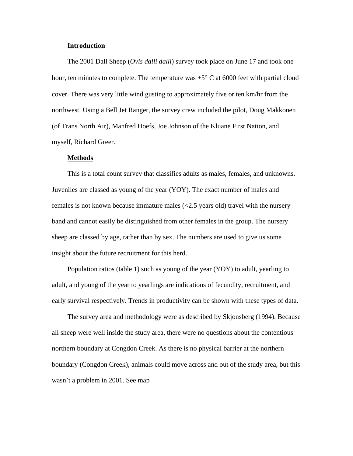#### **Introduction**

The 2001 Dall Sheep (*Ovis dalli dalli*) survey took place on June 17 and took one hour, ten minutes to complete. The temperature was  $+5^{\circ}$  C at 6000 feet with partial cloud cover. There was very little wind gusting to approximately five or ten km/hr from the northwest. Using a Bell Jet Ranger, the survey crew included the pilot, Doug Makkonen (of Trans North Air), Manfred Hoefs, Joe Johnson of the Kluane First Nation, and myself, Richard Greer.

#### **Methods**

This is a total count survey that classifies adults as males, females, and unknowns. Juveniles are classed as young of the year (YOY). The exact number of males and females is not known because immature males (<2.5 years old) travel with the nursery band and cannot easily be distinguished from other females in the group. The nursery sheep are classed by age, rather than by sex. The numbers are used to give us some insight about the future recruitment for this herd.

Population ratios (table 1) such as young of the year (YOY) to adult, yearling to adult, and young of the year to yearlings are indications of fecundity, recruitment, and early survival respectively. Trends in productivity can be shown with these types of data.

The survey area and methodology were as described by Skjonsberg (1994). Because all sheep were well inside the study area, there were no questions about the contentious northern boundary at Congdon Creek. As there is no physical barrier at the northern boundary (Congdon Creek), animals could move across and out of the study area, but this wasn't a problem in 2001. See map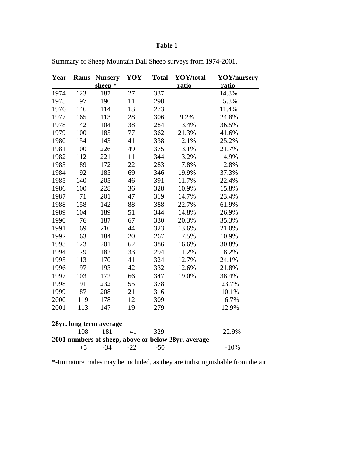# **Table 1**

| Year                                                | Rams | <b>Nursery</b> | YOY   | <b>Total</b> | YOY/total    | <b>YOY/nursery</b> |
|-----------------------------------------------------|------|----------------|-------|--------------|--------------|--------------------|
|                                                     |      | sheep $*$      |       |              | <u>ratio</u> | ratio              |
| 1974                                                | 123  | 187            | 27    | 337          |              | 14.8%              |
| 1975                                                | 97   | 190            | 11    | 298          |              | 5.8%               |
| 1976                                                | 146  | 114            | 13    | 273          |              | 11.4%              |
| 1977                                                | 165  | 113            | 28    | 306          | 9.2%         | 24.8%              |
| 1978                                                | 142  | 104            | 38    | 284          | 13.4%        | 36.5%              |
| 1979                                                | 100  | 185            | 77    | 362          | 21.3%        | 41.6%              |
| 1980                                                | 154  | 143            | 41    | 338          | 12.1%        | 25.2%              |
| 1981                                                | 100  | 226            | 49    | 375          | 13.1%        | 21.7%              |
| 1982                                                | 112  | 221            | 11    | 344          | 3.2%         | 4.9%               |
| 1983                                                | 89   | 172            | 22    | 283          | 7.8%         | 12.8%              |
| 1984                                                | 92   | 185            | 69    | 346          | 19.9%        | 37.3%              |
| 1985                                                | 140  | 205            | 46    | 391          | 11.7%        | 22.4%              |
| 1986                                                | 100  | 228            | 36    | 328          | 10.9%        | 15.8%              |
| 1987                                                | 71   | 201            | 47    | 319          | 14.7%        | 23.4%              |
| 1988                                                | 158  | 142            | 88    | 388          | 22.7%        | 61.9%              |
| 1989                                                | 104  | 189            | 51    | 344          | 14.8%        | 26.9%              |
| 1990                                                | 76   | 187            | 67    | 330          | 20.3%        | 35.3%              |
| 1991                                                | 69   | 210            | 44    | 323          | 13.6%        | 21.0%              |
| 1992                                                | 63   | 184            | 20    | 267          | 7.5%         | 10.9%              |
| 1993                                                | 123  | 201            | 62    | 386          | 16.6%        | 30.8%              |
| 1994                                                | 79   | 182            | 33    | 294          | 11.2%        | 18.2%              |
| 1995                                                | 113  | 170            | 41    | 324          | 12.7%        | 24.1%              |
| 1996                                                | 97   | 193            | 42    | 332          | 12.6%        | 21.8%              |
| 1997                                                | 103  | 172            | 66    | 347          | 19.0%        | 38.4%              |
| 1998                                                | 91   | 232            | 55    | 378          |              | 23.7%              |
| 1999                                                | 87   | 208            | 21    | 316          |              | 10.1%              |
| 2000                                                | 119  | 178            | 12    | 309          |              | 6.7%               |
| 2001                                                | 113  | 147            | 19    | 279          |              | 12.9%              |
| 28yr. long term average                             |      |                |       |              |              |                    |
|                                                     | 108  | 181            | 41    | 329          |              | 22.9%              |
| 2001 numbers of sheep, above or below 28yr. average |      |                |       |              |              |                    |
|                                                     | $+5$ | $-34$          | $-22$ | $-50$        |              | $-10%$             |

Summary of Sheep Mountain Dall Sheep surveys from 1974-2001.

\*-Immature males may be included, as they are indistinguishable from the air.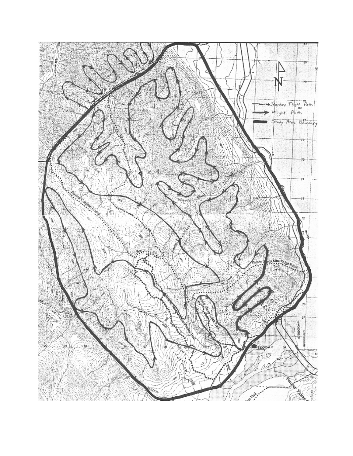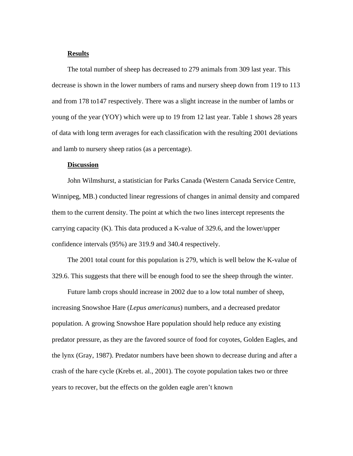### **Results**

The total number of sheep has decreased to 279 animals from 309 last year. This decrease is shown in the lower numbers of rams and nursery sheep down from 119 to 113 and from 178 to147 respectively. There was a slight increase in the number of lambs or young of the year (YOY) which were up to 19 from 12 last year. Table 1 shows 28 years of data with long term averages for each classification with the resulting 2001 deviations and lamb to nursery sheep ratios (as a percentage).

## **Discussion**

John Wilmshurst, a statistician for Parks Canada (Western Canada Service Centre, Winnipeg, MB.) conducted linear regressions of changes in animal density and compared them to the current density. The point at which the two lines intercept represents the carrying capacity (K). This data produced a K-value of 329.6, and the lower/upper confidence intervals (95%) are 319.9 and 340.4 respectively.

The 2001 total count for this population is 279, which is well below the K-value of 329.6. This suggests that there will be enough food to see the sheep through the winter.

Future lamb crops should increase in 2002 due to a low total number of sheep, increasing Snowshoe Hare (*Lepus americanus*) numbers, and a decreased predator population. A growing Snowshoe Hare population should help reduce any existing predator pressure, as they are the favored source of food for coyotes, Golden Eagles, and the lynx (Gray, 1987). Predator numbers have been shown to decrease during and after a crash of the hare cycle (Krebs et. al., 2001). The coyote population takes two or three years to recover, but the effects on the golden eagle aren't known